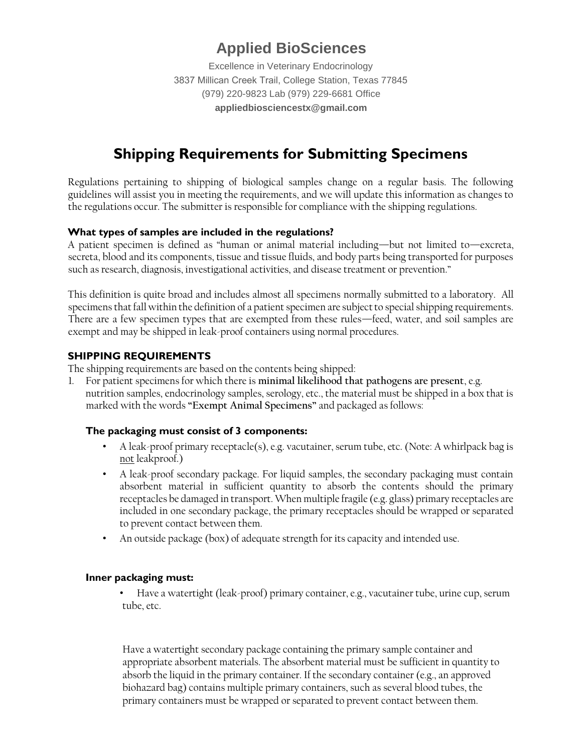# **Applied BioSciences**

Excellence in Veterinary Endocrinology 3837 Millican Creek Trail, College Station, Texas 77845 (979) 220-9823 Lab (979) 229-6681 Office **appliedbiosciencestx@gmail.com**

# **Shipping Requirements for Submitting Specimens**

Regulations pertaining to shipping of biological samples change on a regular basis. The following guidelines will assist you in meeting the requirements, and we will update this information as changes to the regulations occur. The submitter is responsible for compliance with the shipping regulations.

# **What types of samples are included in the regulations?**

A patient specimen is defined as "human or animal material including—but not limited to—excreta, secreta, blood and its components, tissue and tissue fluids, and body parts being transported for purposes such as research, diagnosis, investigational activities, and disease treatment or prevention."

This definition is quite broad and includes almost all specimens normally submitted to a laboratory. All specimens that fall within the definition of a patient specimen are subject to special shipping requirements. There are a few specimen types that are exempted from these rules—feed, water, and soil samples are exempt and may be shipped in leak-proof containers using normal procedures.

# **SHIPPING REQUIREMENTS**

The shipping requirements are based on the contents being shipped:

1. For patient specimens for which there is **minimal likelihood that pathogens are present**, e.g. nutrition samples, endocrinology samples, serology, etc., the material must be shipped in a box that is marked with the words **"Exempt Animal Specimens"** and packaged as follows:

#### **The packaging must consist of 3 components:**

- A leak-proof primary receptacle(s), e.g. vacutainer, serum tube, etc. (Note: A whirlpack bag is not leakproof.)
- A leak-proof secondary package. For liquid samples, the secondary packaging must contain absorbent material in sufficient quantity to absorb the contents should the primary receptacles be damaged in transport. When multiple fragile (e.g. glass) primary receptacles are included in one secondary package, the primary receptacles should be wrapped or separated to prevent contact between them.
- An outside package (box) of adequate strength for its capacity and intended use.

#### **Inner packaging must:**

• Have a watertight (leak-proof) primary container, e.g., vacutainer tube, urine cup, serum tube, etc.

Have a watertight secondary package containing the primary sample container and appropriate absorbent materials. The absorbent material must be sufficient in quantity to absorb the liquid in the primary container. If the secondary container (e.g., an approved biohazard bag) contains multiple primary containers, such as several blood tubes, the primary containers must be wrapped or separated to prevent contact between them.